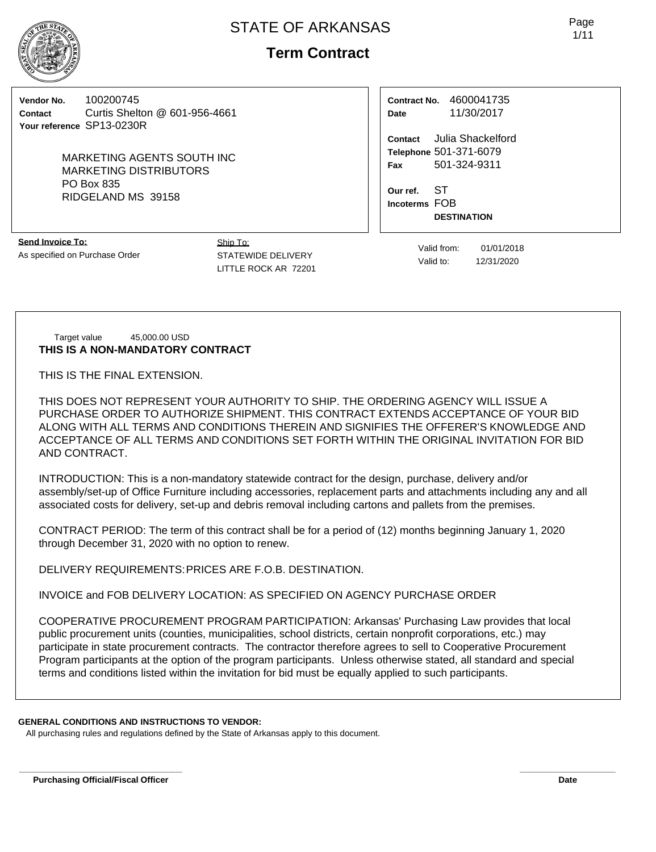

# **Term Contract**

**Vendor No.** 100200745 **Contact** Curtis Shelton @ 601-956-4661 **Your reference** SP13-0230R

> MARKETING AGENTS SOUTH INC MARKETING DISTRIBUTORS PO Box 835 RIDGELAND MS 39158

**Send Invoice To:** As specified on Purchase Order Ship To: STATEWIDE DELIVERY LITTLE ROCK AR 72201

**Contract No.** 4600041735 **Date** 11/30/2017

**Contact** Julia Shackelford **Telephone** 501-371-6079 **Fax** 501-324-9311

**Our ref.** ST **Incoterms** FOB **DESTINATION**

> Valid from: 01/01/2018 Valid to: 12/31/2020

Target value 45,000.00 USD **THIS IS A NON-MANDATORY CONTRACT**

THIS IS THE FINAL EXTENSION.

THIS DOES NOT REPRESENT YOUR AUTHORITY TO SHIP. THE ORDERING AGENCY WILL ISSUE A PURCHASE ORDER TO AUTHORIZE SHIPMENT. THIS CONTRACT EXTENDS ACCEPTANCE OF YOUR BID ALONG WITH ALL TERMS AND CONDITIONS THEREIN AND SIGNIFIES THE OFFERER'S KNOWLEDGE AND ACCEPTANCE OF ALL TERMS AND CONDITIONS SET FORTH WITHIN THE ORIGINAL INVITATION FOR BID AND CONTRACT.

INTRODUCTION: This is a non-mandatory statewide contract for the design, purchase, delivery and/or assembly/set-up of Office Furniture including accessories, replacement parts and attachments including any and all associated costs for delivery, set-up and debris removal including cartons and pallets from the premises.

CONTRACT PERIOD: The term of this contract shall be for a period of (12) months beginning January 1, 2020 through December 31, 2020 with no option to renew.

DELIVERY REQUIREMENTS:PRICES ARE F.O.B. DESTINATION.

INVOICE and FOB DELIVERY LOCATION: AS SPECIFIED ON AGENCY PURCHASE ORDER

COOPERATIVE PROCUREMENT PROGRAM PARTICIPATION: Arkansas' Purchasing Law provides that local public procurement units (counties, municipalities, school districts, certain nonprofit corporations, etc.) may participate in state procurement contracts. The contractor therefore agrees to sell to Cooperative Procurement Program participants at the option of the program participants. Unless otherwise stated, all standard and special terms and conditions listed within the invitation for bid must be equally applied to such participants.

**\_\_\_\_\_\_\_\_\_\_\_\_\_\_\_\_\_\_\_\_\_\_\_\_\_\_\_\_\_\_\_\_\_\_ \_\_\_\_\_\_\_\_\_\_\_\_\_\_\_\_\_\_\_\_**

### **GENERAL CONDITIONS AND INSTRUCTIONS TO VENDOR:**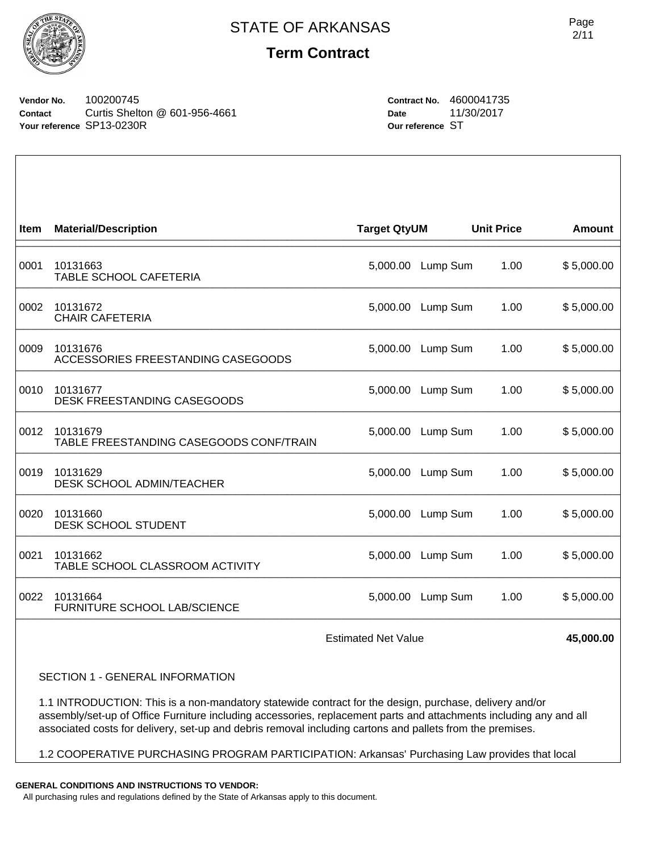

### **Term Contract**

**Vendor No.** 100200745 **Contact** Curtis Shelton @ 601-956-4661 **Your reference** SP13-0230R

**Contract No.** 4600041735 **Date** 11/30/2017 **Our reference** ST

| Item | <b>Material/Description</b>                         | <b>Target QtyUM</b> |          | <b>Unit Price</b> | <b>Amount</b> |
|------|-----------------------------------------------------|---------------------|----------|-------------------|---------------|
| 0001 | 10131663<br>TABLE SCHOOL CAFETERIA                  | 5,000.00            | Lump Sum | 1.00              | \$5,000.00    |
| 0002 | 10131672<br><b>CHAIR CAFETERIA</b>                  | 5,000.00            | Lump Sum | 1.00              | \$5,000.00    |
| 0009 | 10131676<br>ACCESSORIES FREESTANDING CASEGOODS      | 5,000.00            | Lump Sum | 1.00              | \$5,000.00    |
| 0010 | 10131677<br><b>DESK FREESTANDING CASEGOODS</b>      | 5,000.00            | Lump Sum | 1.00              | \$5,000.00    |
| 0012 | 10131679<br>TABLE FREESTANDING CASEGOODS CONF/TRAIN | 5,000.00            | Lump Sum | 1.00              | \$5,000.00    |
| 0019 | 10131629<br>DESK SCHOOL ADMIN/TEACHER               | 5,000.00            | Lump Sum | 1.00              | \$5,000.00    |
| 0020 | 10131660<br>DESK SCHOOL STUDENT                     | 5,000.00            | Lump Sum | 1.00              | \$5,000.00    |
| 0021 | 10131662<br>TABLE SCHOOL CLASSROOM ACTIVITY         | 5,000.00            | Lump Sum | 1.00              | \$5,000.00    |
| 0022 | 10131664<br>FURNITURE SCHOOL LAB/SCIENCE            | 5,000.00            | Lump Sum | 1.00              | \$5,000.00    |
|      | <b>Estimated Net Value</b>                          |                     |          |                   | 45,000.00     |

SECTION 1 - GENERAL INFORMATION

1.1 INTRODUCTION: This is a non-mandatory statewide contract for the design, purchase, delivery and/or assembly/set-up of Office Furniture including accessories, replacement parts and attachments including any and all associated costs for delivery, set-up and debris removal including cartons and pallets from the premises.

1.2 COOPERATIVE PURCHASING PROGRAM PARTICIPATION: Arkansas' Purchasing Law provides that local

**GENERAL CONDITIONS AND INSTRUCTIONS TO VENDOR:**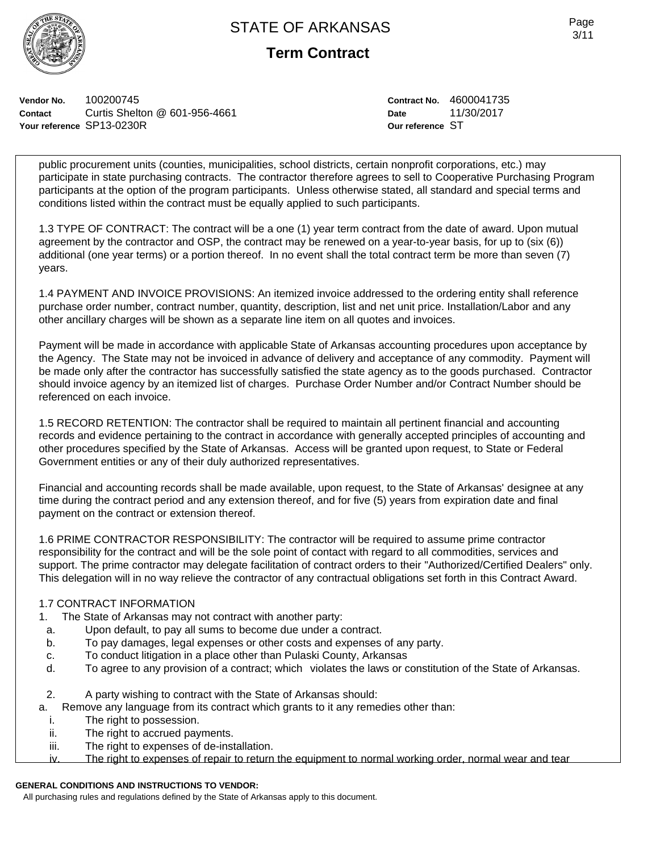

**Term Contract**

**Vendor No.** 100200745 **Contact** Curtis Shelton @ 601-956-4661 **Your reference** SP13-0230R

**Contract No.** 4600041735 **Date** 11/30/2017 **Our reference** ST

public procurement units (counties, municipalities, school districts, certain nonprofit corporations, etc.) may participate in state purchasing contracts. The contractor therefore agrees to sell to Cooperative Purchasing Program participants at the option of the program participants. Unless otherwise stated, all standard and special terms and conditions listed within the contract must be equally applied to such participants.

1.3 TYPE OF CONTRACT: The contract will be a one (1) year term contract from the date of award. Upon mutual agreement by the contractor and OSP, the contract may be renewed on a year-to-year basis, for up to (six (6)) additional (one year terms) or a portion thereof. In no event shall the total contract term be more than seven (7) years.

1.4 PAYMENT AND INVOICE PROVISIONS: An itemized invoice addressed to the ordering entity shall reference purchase order number, contract number, quantity, description, list and net unit price. Installation/Labor and any other ancillary charges will be shown as a separate line item on all quotes and invoices.

Payment will be made in accordance with applicable State of Arkansas accounting procedures upon acceptance by the Agency. The State may not be invoiced in advance of delivery and acceptance of any commodity. Payment will be made only after the contractor has successfully satisfied the state agency as to the goods purchased. Contractor should invoice agency by an itemized list of charges. Purchase Order Number and/or Contract Number should be referenced on each invoice.

1.5 RECORD RETENTION: The contractor shall be required to maintain all pertinent financial and accounting records and evidence pertaining to the contract in accordance with generally accepted principles of accounting and other procedures specified by the State of Arkansas. Access will be granted upon request, to State or Federal Government entities or any of their duly authorized representatives.

Financial and accounting records shall be made available, upon request, to the State of Arkansas' designee at any time during the contract period and any extension thereof, and for five (5) years from expiration date and final payment on the contract or extension thereof.

1.6 PRIME CONTRACTOR RESPONSIBILITY: The contractor will be required to assume prime contractor responsibility for the contract and will be the sole point of contact with regard to all commodities, services and support. The prime contractor may delegate facilitation of contract orders to their "Authorized/Certified Dealers" only. This delegation will in no way relieve the contractor of any contractual obligations set forth in this Contract Award.

### 1.7 CONTRACT INFORMATION

- 1. The State of Arkansas may not contract with another party:
- a. Upon default, to pay all sums to become due under a contract.
- b. To pay damages, legal expenses or other costs and expenses of any party.
- c. To conduct litigation in a place other than Pulaski County, Arkansas
- d. To agree to any provision of a contract; which violates the laws or constitution of the State of Arkansas.
- 2. A party wishing to contract with the State of Arkansas should:
- a. Remove any language from its contract which grants to it any remedies other than:
- i. The right to possession.
- ii. The right to accrued payments.<br>iii. The right to expenses of de-insi
- The right to expenses of de-installation.
- iv. The right to expenses of repair to return the equipment to normal working order, normal wear and tear

### **GENERAL CONDITIONS AND INSTRUCTIONS TO VENDOR:**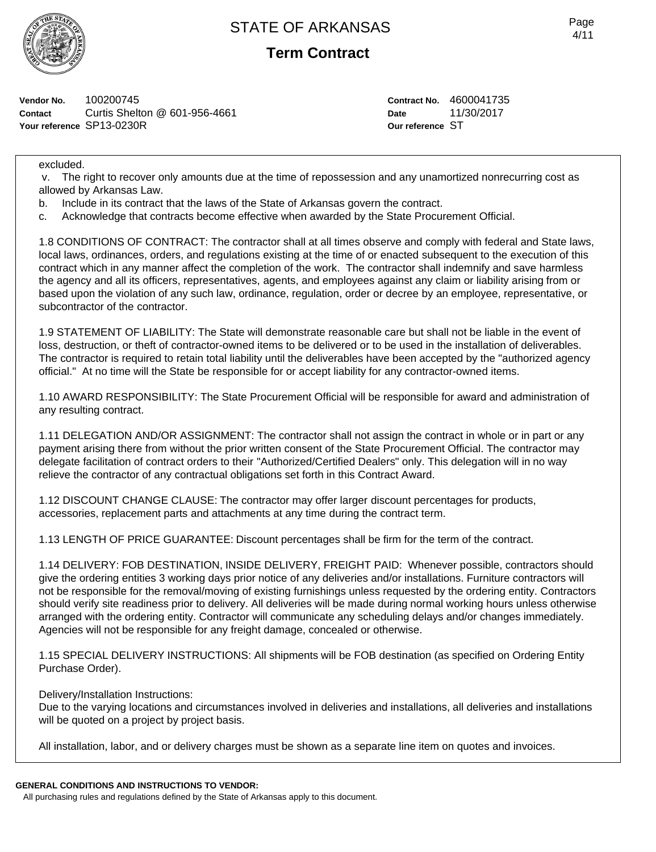

**Term Contract**

**Vendor No.** 100200745 **Contact** Curtis Shelton @ 601-956-4661 **Your reference** SP13-0230R

**Contract No.** 4600041735 **Date** 11/30/2017 **Our reference** ST

excluded.

 v. The right to recover only amounts due at the time of repossession and any unamortized nonrecurring cost as allowed by Arkansas Law.

- b. Include in its contract that the laws of the State of Arkansas govern the contract.
- c. Acknowledge that contracts become effective when awarded by the State Procurement Official.

1.8 CONDITIONS OF CONTRACT: The contractor shall at all times observe and comply with federal and State laws, local laws, ordinances, orders, and regulations existing at the time of or enacted subsequent to the execution of this contract which in any manner affect the completion of the work. The contractor shall indemnify and save harmless the agency and all its officers, representatives, agents, and employees against any claim or liability arising from or based upon the violation of any such law, ordinance, regulation, order or decree by an employee, representative, or subcontractor of the contractor.

1.9 STATEMENT OF LIABILITY: The State will demonstrate reasonable care but shall not be liable in the event of loss, destruction, or theft of contractor-owned items to be delivered or to be used in the installation of deliverables. The contractor is required to retain total liability until the deliverables have been accepted by the "authorized agency official." At no time will the State be responsible for or accept liability for any contractor-owned items.

1.10 AWARD RESPONSIBILITY: The State Procurement Official will be responsible for award and administration of any resulting contract.

1.11 DELEGATION AND/OR ASSIGNMENT: The contractor shall not assign the contract in whole or in part or any payment arising there from without the prior written consent of the State Procurement Official. The contractor may delegate facilitation of contract orders to their "Authorized/Certified Dealers" only. This delegation will in no way relieve the contractor of any contractual obligations set forth in this Contract Award.

1.12 DISCOUNT CHANGE CLAUSE: The contractor may offer larger discount percentages for products, accessories, replacement parts and attachments at any time during the contract term.

1.13 LENGTH OF PRICE GUARANTEE: Discount percentages shall be firm for the term of the contract.

1.14 DELIVERY: FOB DESTINATION, INSIDE DELIVERY, FREIGHT PAID: Whenever possible, contractors should give the ordering entities 3 working days prior notice of any deliveries and/or installations. Furniture contractors will not be responsible for the removal/moving of existing furnishings unless requested by the ordering entity. Contractors should verify site readiness prior to delivery. All deliveries will be made during normal working hours unless otherwise arranged with the ordering entity. Contractor will communicate any scheduling delays and/or changes immediately. Agencies will not be responsible for any freight damage, concealed or otherwise.

1.15 SPECIAL DELIVERY INSTRUCTIONS: All shipments will be FOB destination (as specified on Ordering Entity Purchase Order).

### Delivery/Installation Instructions:

Due to the varying locations and circumstances involved in deliveries and installations, all deliveries and installations will be quoted on a project by project basis.

All installation, labor, and or delivery charges must be shown as a separate line item on quotes and invoices.

#### **GENERAL CONDITIONS AND INSTRUCTIONS TO VENDOR:**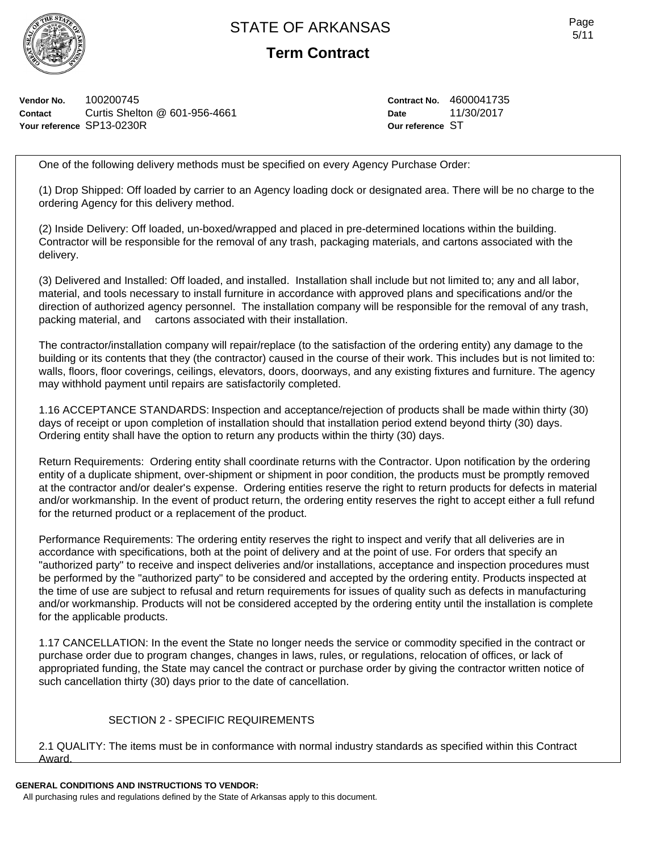

**Term Contract**

**Vendor No.** 100200745 **Contact** Curtis Shelton @ 601-956-4661 **Your reference** SP13-0230R

**Contract No.** 4600041735 **Date** 11/30/2017 **Our reference** ST

One of the following delivery methods must be specified on every Agency Purchase Order:

(1) Drop Shipped: Off loaded by carrier to an Agency loading dock or designated area. There will be no charge to the ordering Agency for this delivery method.

(2) Inside Delivery: Off loaded, un-boxed/wrapped and placed in pre-determined locations within the building. Contractor will be responsible for the removal of any trash, packaging materials, and cartons associated with the delivery.

(3) Delivered and Installed: Off loaded, and installed. Installation shall include but not limited to; any and all labor, material, and tools necessary to install furniture in accordance with approved plans and specifications and/or the direction of authorized agency personnel. The installation company will be responsible for the removal of any trash, packing material, and cartons associated with their installation.

The contractor/installation company will repair/replace (to the satisfaction of the ordering entity) any damage to the building or its contents that they (the contractor) caused in the course of their work. This includes but is not limited to: walls, floors, floor coverings, ceilings, elevators, doors, doorways, and any existing fixtures and furniture. The agency may withhold payment until repairs are satisfactorily completed.

1.16 ACCEPTANCE STANDARDS: Inspection and acceptance/rejection of products shall be made within thirty (30) days of receipt or upon completion of installation should that installation period extend beyond thirty (30) days. Ordering entity shall have the option to return any products within the thirty (30) days.

Return Requirements: Ordering entity shall coordinate returns with the Contractor. Upon notification by the ordering entity of a duplicate shipment, over-shipment or shipment in poor condition, the products must be promptly removed at the contractor and/or dealer's expense. Ordering entities reserve the right to return products for defects in material and/or workmanship. In the event of product return, the ordering entity reserves the right to accept either a full refund for the returned product or a replacement of the product.

Performance Requirements: The ordering entity reserves the right to inspect and verify that all deliveries are in accordance with specifications, both at the point of delivery and at the point of use. For orders that specify an "authorized party" to receive and inspect deliveries and/or installations, acceptance and inspection procedures must be performed by the "authorized party" to be considered and accepted by the ordering entity. Products inspected at the time of use are subject to refusal and return requirements for issues of quality such as defects in manufacturing and/or workmanship. Products will not be considered accepted by the ordering entity until the installation is complete for the applicable products.

1.17 CANCELLATION: In the event the State no longer needs the service or commodity specified in the contract or purchase order due to program changes, changes in laws, rules, or regulations, relocation of offices, or lack of appropriated funding, the State may cancel the contract or purchase order by giving the contractor written notice of such cancellation thirty (30) days prior to the date of cancellation.

### SECTION 2 - SPECIFIC REQUIREMENTS

2.1 QUALITY: The items must be in conformance with normal industry standards as specified within this Contract Award.

#### **GENERAL CONDITIONS AND INSTRUCTIONS TO VENDOR:**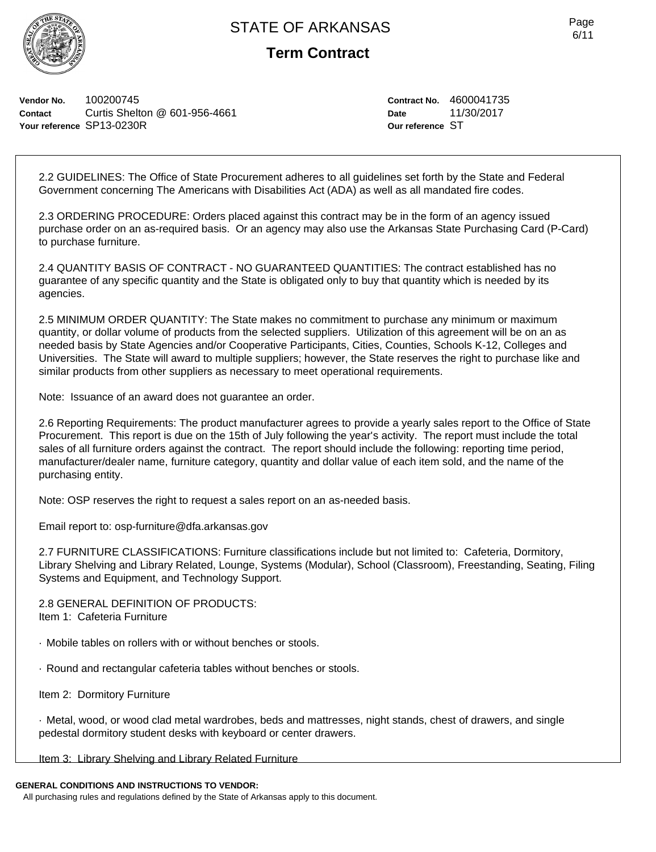

**Term Contract**

**Vendor No.** 100200745 **Contact** Curtis Shelton @ 601-956-4661 **Your reference** SP13-0230R

**Contract No.** 4600041735 **Date** 11/30/2017 **Our reference** ST

2.2 GUIDELINES: The Office of State Procurement adheres to all guidelines set forth by the State and Federal Government concerning The Americans with Disabilities Act (ADA) as well as all mandated fire codes.

2.3 ORDERING PROCEDURE: Orders placed against this contract may be in the form of an agency issued purchase order on an as-required basis. Or an agency may also use the Arkansas State Purchasing Card (P-Card) to purchase furniture.

2.4 QUANTITY BASIS OF CONTRACT - NO GUARANTEED QUANTITIES: The contract established has no guarantee of any specific quantity and the State is obligated only to buy that quantity which is needed by its agencies.

2.5 MINIMUM ORDER QUANTITY: The State makes no commitment to purchase any minimum or maximum quantity, or dollar volume of products from the selected suppliers. Utilization of this agreement will be on an as needed basis by State Agencies and/or Cooperative Participants, Cities, Counties, Schools K-12, Colleges and Universities. The State will award to multiple suppliers; however, the State reserves the right to purchase like and similar products from other suppliers as necessary to meet operational requirements.

Note: Issuance of an award does not guarantee an order.

2.6 Reporting Requirements: The product manufacturer agrees to provide a yearly sales report to the Office of State Procurement. This report is due on the 15th of July following the year's activity. The report must include the total sales of all furniture orders against the contract. The report should include the following: reporting time period, manufacturer/dealer name, furniture category, quantity and dollar value of each item sold, and the name of the purchasing entity.

Note: OSP reserves the right to request a sales report on an as-needed basis.

Email report to: osp-furniture@dfa.arkansas.gov

2.7 FURNITURE CLASSIFICATIONS: Furniture classifications include but not limited to: Cafeteria, Dormitory, Library Shelving and Library Related, Lounge, Systems (Modular), School (Classroom), Freestanding, Seating, Filing Systems and Equipment, and Technology Support.

2.8 GENERAL DEFINITION OF PRODUCTS: Item 1: Cafeteria Furniture

· Mobile tables on rollers with or without benches or stools.

· Round and rectangular cafeteria tables without benches or stools.

Item 2: Dormitory Furniture

· Metal, wood, or wood clad metal wardrobes, beds and mattresses, night stands, chest of drawers, and single pedestal dormitory student desks with keyboard or center drawers.

Item 3: Library Shelving and Library Related Furniture

#### **GENERAL CONDITIONS AND INSTRUCTIONS TO VENDOR:**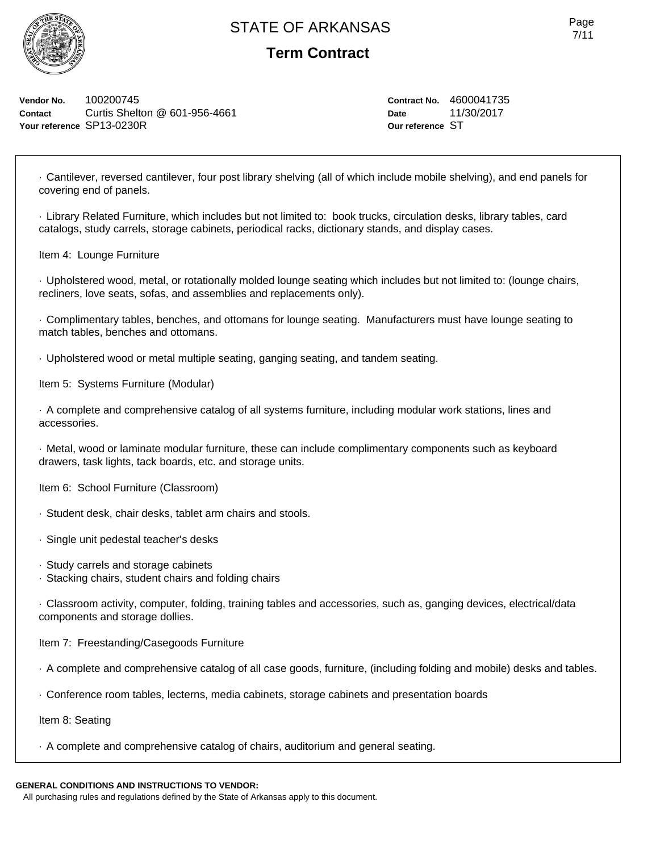

## **Term Contract**

**Vendor No.** 100200745 **Contact** Curtis Shelton @ 601-956-4661 **Your reference** SP13-0230R

**Contract No.** 4600041735 **Date** 11/30/2017 **Our reference** ST

· Cantilever, reversed cantilever, four post library shelving (all of which include mobile shelving), and end panels for covering end of panels.

· Library Related Furniture, which includes but not limited to: book trucks, circulation desks, library tables, card catalogs, study carrels, storage cabinets, periodical racks, dictionary stands, and display cases.

Item 4: Lounge Furniture

· Upholstered wood, metal, or rotationally molded lounge seating which includes but not limited to: (lounge chairs, recliners, love seats, sofas, and assemblies and replacements only).

· Complimentary tables, benches, and ottomans for lounge seating. Manufacturers must have lounge seating to match tables, benches and ottomans.

· Upholstered wood or metal multiple seating, ganging seating, and tandem seating.

Item 5: Systems Furniture (Modular)

· A complete and comprehensive catalog of all systems furniture, including modular work stations, lines and accessories.

· Metal, wood or laminate modular furniture, these can include complimentary components such as keyboard drawers, task lights, tack boards, etc. and storage units.

Item 6: School Furniture (Classroom)

- · Student desk, chair desks, tablet arm chairs and stools.
- · Single unit pedestal teacher's desks
- · Study carrels and storage cabinets
- · Stacking chairs, student chairs and folding chairs

· Classroom activity, computer, folding, training tables and accessories, such as, ganging devices, electrical/data components and storage dollies.

Item 7: Freestanding/Casegoods Furniture

- · A complete and comprehensive catalog of all case goods, furniture, (including folding and mobile) desks and tables.
- · Conference room tables, lecterns, media cabinets, storage cabinets and presentation boards

Item 8: Seating

· A complete and comprehensive catalog of chairs, auditorium and general seating.

#### **GENERAL CONDITIONS AND INSTRUCTIONS TO VENDOR:**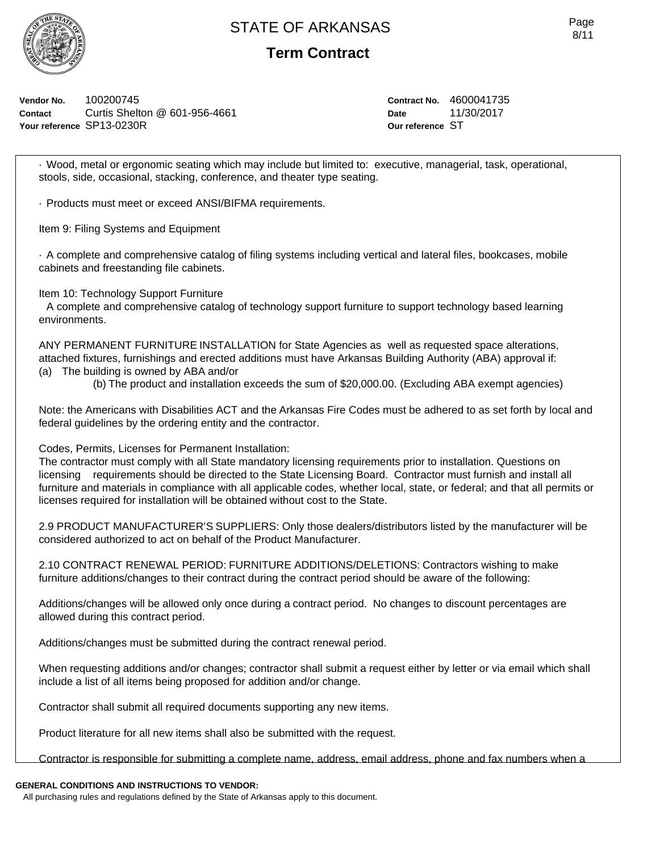

**Term Contract**

**Vendor No.** 100200745 **Contact** Curtis Shelton @ 601-956-4661 **Your reference** SP13-0230R

**Contract No.** 4600041735 **Date** 11/30/2017 **Our reference** ST

· Wood, metal or ergonomic seating which may include but limited to: executive, managerial, task, operational, stools, side, occasional, stacking, conference, and theater type seating.

· Products must meet or exceed ANSI/BIFMA requirements.

Item 9: Filing Systems and Equipment

· A complete and comprehensive catalog of filing systems including vertical and lateral files, bookcases, mobile cabinets and freestanding file cabinets.

Item 10: Technology Support Furniture

A complete and comprehensive catalog of technology support furniture to support technology based learning environments.

ANY PERMANENT FURNITURE INSTALLATION for State Agencies as well as requested space alterations, attached fixtures, furnishings and erected additions must have Arkansas Building Authority (ABA) approval if: (a) The building is owned by ABA and/or

(b) The product and installation exceeds the sum of \$20,000.00. (Excluding ABA exempt agencies)

Note: the Americans with Disabilities ACT and the Arkansas Fire Codes must be adhered to as set forth by local and federal guidelines by the ordering entity and the contractor.

Codes, Permits, Licenses for Permanent Installation:

The contractor must comply with all State mandatory licensing requirements prior to installation. Questions on licensing requirements should be directed to the State Licensing Board. Contractor must furnish and install all furniture and materials in compliance with all applicable codes, whether local, state, or federal; and that all permits or licenses required for installation will be obtained without cost to the State.

2.9 PRODUCT MANUFACTURER'S SUPPLIERS: Only those dealers/distributors listed by the manufacturer will be considered authorized to act on behalf of the Product Manufacturer.

2.10 CONTRACT RENEWAL PERIOD: FURNITURE ADDITIONS/DELETIONS: Contractors wishing to make furniture additions/changes to their contract during the contract period should be aware of the following:

Additions/changes will be allowed only once during a contract period. No changes to discount percentages are allowed during this contract period.

Additions/changes must be submitted during the contract renewal period.

When requesting additions and/or changes; contractor shall submit a request either by letter or via email which shall include a list of all items being proposed for addition and/or change.

Contractor shall submit all required documents supporting any new items.

Product literature for all new items shall also be submitted with the request.

Contractor is responsible for submitting a complete name, address, email address, phone and fax numbers when a

### **GENERAL CONDITIONS AND INSTRUCTIONS TO VENDOR:**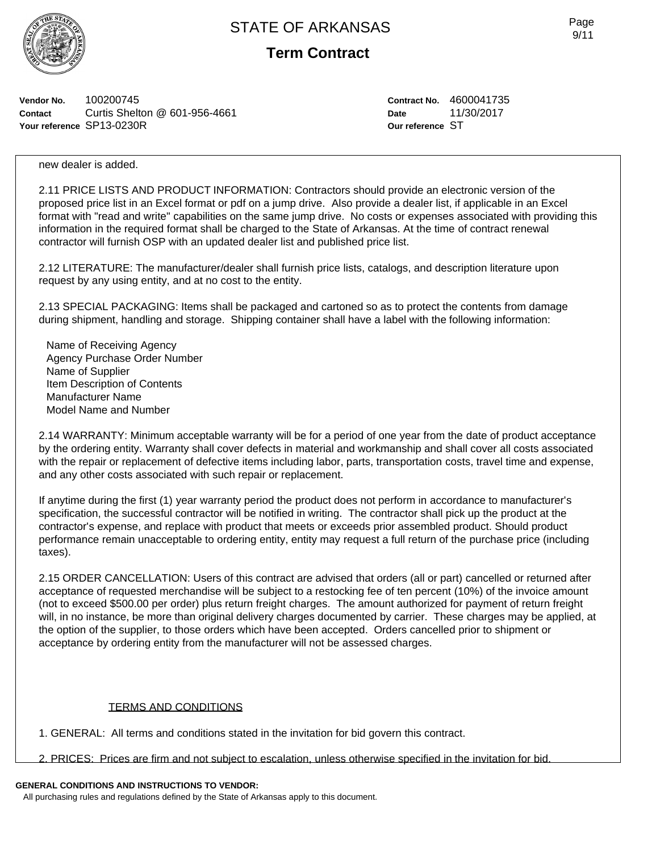

**Term Contract**

**Vendor No.** 100200745 **Contact** Curtis Shelton @ 601-956-4661 **Your reference** SP13-0230R

**Contract No.** 4600041735 **Date** 11/30/2017 **Our reference** ST

new dealer is added.

2.11 PRICE LISTS AND PRODUCT INFORMATION: Contractors should provide an electronic version of the proposed price list in an Excel format or pdf on a jump drive. Also provide a dealer list, if applicable in an Excel format with "read and write" capabilities on the same jump drive. No costs or expenses associated with providing this information in the required format shall be charged to the State of Arkansas. At the time of contract renewal contractor will furnish OSP with an updated dealer list and published price list.

2.12 LITERATURE: The manufacturer/dealer shall furnish price lists, catalogs, and description literature upon request by any using entity, and at no cost to the entity.

2.13 SPECIAL PACKAGING: Items shall be packaged and cartoned so as to protect the contents from damage during shipment, handling and storage. Shipping container shall have a label with the following information:

Name of Receiving Agency Agency Purchase Order Number Name of Supplier Item Description of Contents Manufacturer Name Model Name and Number

2.14 WARRANTY: Minimum acceptable warranty will be for a period of one year from the date of product acceptance by the ordering entity. Warranty shall cover defects in material and workmanship and shall cover all costs associated with the repair or replacement of defective items including labor, parts, transportation costs, travel time and expense, and any other costs associated with such repair or replacement.

If anytime during the first (1) year warranty period the product does not perform in accordance to manufacturer's specification, the successful contractor will be notified in writing. The contractor shall pick up the product at the contractor's expense, and replace with product that meets or exceeds prior assembled product. Should product performance remain unacceptable to ordering entity, entity may request a full return of the purchase price (including taxes).

2.15 ORDER CANCELLATION: Users of this contract are advised that orders (all or part) cancelled or returned after acceptance of requested merchandise will be subject to a restocking fee of ten percent (10%) of the invoice amount (not to exceed \$500.00 per order) plus return freight charges. The amount authorized for payment of return freight will, in no instance, be more than original delivery charges documented by carrier. These charges may be applied, at the option of the supplier, to those orders which have been accepted. Orders cancelled prior to shipment or acceptance by ordering entity from the manufacturer will not be assessed charges.

### TERMS AND CONDITIONS

1. GENERAL: All terms and conditions stated in the invitation for bid govern this contract.

2. PRICES: Prices are firm and not subject to escalation, unless otherwise specified in the invitation for bid.

### **GENERAL CONDITIONS AND INSTRUCTIONS TO VENDOR:**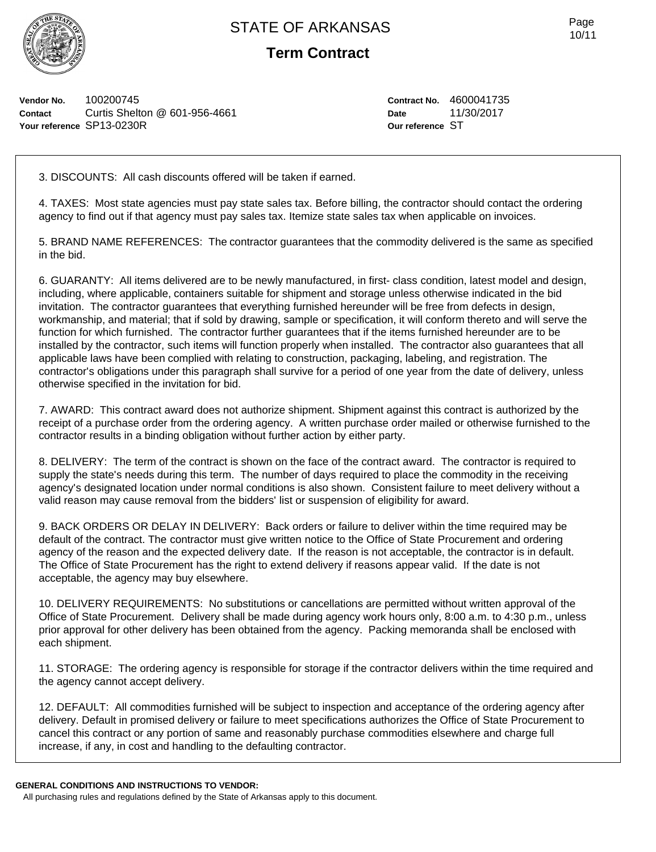

**Term Contract**

**Vendor No.** 100200745 **Contact** Curtis Shelton @ 601-956-4661 **Your reference** SP13-0230R

**Contract No.** 4600041735 **Date** 11/30/2017 **Our reference** ST

3. DISCOUNTS: All cash discounts offered will be taken if earned.

4. TAXES: Most state agencies must pay state sales tax. Before billing, the contractor should contact the ordering agency to find out if that agency must pay sales tax. Itemize state sales tax when applicable on invoices.

5. BRAND NAME REFERENCES: The contractor guarantees that the commodity delivered is the same as specified in the bid.

6. GUARANTY: All items delivered are to be newly manufactured, in first- class condition, latest model and design, including, where applicable, containers suitable for shipment and storage unless otherwise indicated in the bid invitation. The contractor guarantees that everything furnished hereunder will be free from defects in design, workmanship, and material; that if sold by drawing, sample or specification, it will conform thereto and will serve the function for which furnished. The contractor further guarantees that if the items furnished hereunder are to be installed by the contractor, such items will function properly when installed. The contractor also guarantees that all applicable laws have been complied with relating to construction, packaging, labeling, and registration. The contractor's obligations under this paragraph shall survive for a period of one year from the date of delivery, unless otherwise specified in the invitation for bid.

7. AWARD: This contract award does not authorize shipment. Shipment against this contract is authorized by the receipt of a purchase order from the ordering agency. A written purchase order mailed or otherwise furnished to the contractor results in a binding obligation without further action by either party.

8. DELIVERY: The term of the contract is shown on the face of the contract award. The contractor is required to supply the state's needs during this term. The number of days required to place the commodity in the receiving agency's designated location under normal conditions is also shown. Consistent failure to meet delivery without a valid reason may cause removal from the bidders' list or suspension of eligibility for award.

9. BACK ORDERS OR DELAY IN DELIVERY: Back orders or failure to deliver within the time required may be default of the contract. The contractor must give written notice to the Office of State Procurement and ordering agency of the reason and the expected delivery date. If the reason is not acceptable, the contractor is in default. The Office of State Procurement has the right to extend delivery if reasons appear valid. If the date is not acceptable, the agency may buy elsewhere.

10. DELIVERY REQUIREMENTS: No substitutions or cancellations are permitted without written approval of the Office of State Procurement. Delivery shall be made during agency work hours only, 8:00 a.m. to 4:30 p.m., unless prior approval for other delivery has been obtained from the agency. Packing memoranda shall be enclosed with each shipment.

11. STORAGE: The ordering agency is responsible for storage if the contractor delivers within the time required and the agency cannot accept delivery.

12. DEFAULT: All commodities furnished will be subject to inspection and acceptance of the ordering agency after delivery. Default in promised delivery or failure to meet specifications authorizes the Office of State Procurement to cancel this contract or any portion of same and reasonably purchase commodities elsewhere and charge full increase, if any, in cost and handling to the defaulting contractor.

#### **GENERAL CONDITIONS AND INSTRUCTIONS TO VENDOR:**